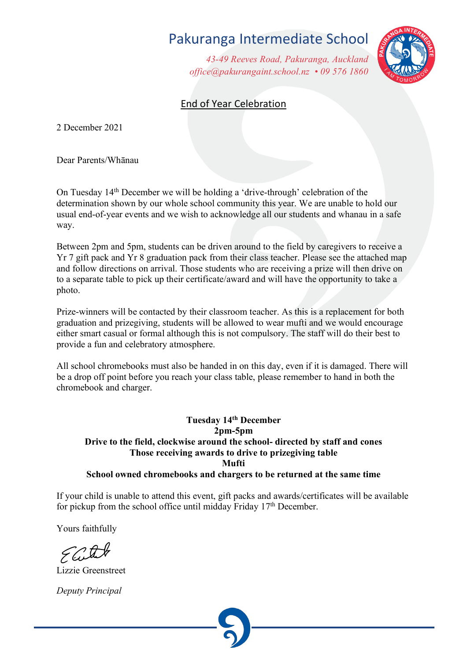## Pakuranga Intermediate School

*43-49 Reeves Road, Pakuranga, Auckland office@pakurangaint.school.nz • 09 576 1860*



## End of Year Celebration

2 December 2021

Dear Parents/Whānau

On Tuesday 14th December we will be holding a 'drive-through' celebration of the determination shown by our whole school community this year. We are unable to hold our usual end-of-year events and we wish to acknowledge all our students and whanau in a safe way.

Between 2pm and 5pm, students can be driven around to the field by caregivers to receive a Yr 7 gift pack and Yr 8 graduation pack from their class teacher. Please see the attached map and follow directions on arrival. Those students who are receiving a prize will then drive on to a separate table to pick up their certificate/award and will have the opportunity to take a photo.

Prize-winners will be contacted by their classroom teacher. As this is a replacement for both graduation and prizegiving, students will be allowed to wear mufti and we would encourage either smart casual or formal although this is not compulsory. The staff will do their best to provide a fun and celebratory atmosphere.

All school chromebooks must also be handed in on this day, even if it is damaged. There will be a drop off point before you reach your class table, please remember to hand in both the chromebook and charger.

## **Tuesday 14th December 2pm-5pm Drive to the field, clockwise around the school- directed by staff and cones Those receiving awards to drive to prizegiving table Mufti School owned chromebooks and chargers to be returned at the same time**

If your child is unable to attend this event, gift packs and awards/certificates will be available for pickup from the school office until midday Friday 17th December.

Yours faithfully

Lizzie Greenstreet

*Deputy Principal*